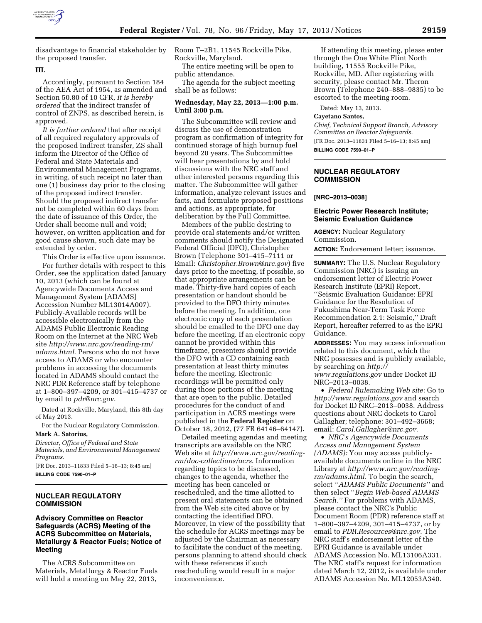

disadvantage to financial stakeholder by the proposed transfer.

# **III.**

Accordingly, pursuant to Section 184 of the AEA Act of 1954, as amended and Section 50.80 of 10 CFR, *it is hereby ordered* that the indirect transfer of control of ZNPS, as described herein, is approved.

*It is further ordered* that after receipt of all required regulatory approvals of the proposed indirect transfer, ZS shall inform the Director of the Office of Federal and State Materials and Environmental Management Programs, in writing, of such receipt no later than one (1) business day prior to the closing of the proposed indirect transfer. Should the proposed indirect transfer not be completed within 60 days from the date of issuance of this Order, the Order shall become null and void; however, on written application and for good cause shown, such date may be extended by order.

This Order is effective upon issuance.

For further details with respect to this Order, see the application dated January 10, 2013 (which can be found at Agencywide Documents Access and Management System [ADAMS] Accession Number ML13014A007). Publicly-Available records will be accessible electronically from the ADAMS Public Electronic Reading Room on the Internet at the NRC Web site *[http://www.nrc.gov/reading-rm/](http://www.nrc.gov/reading-rm/adams.html) [adams.html](http://www.nrc.gov/reading-rm/adams.html)*. Persons who do not have access to ADAMS or who encounter problems in accessing the documents located in ADAMS should contact the NRC PDR Reference staff by telephone at 1–800–397–4209, or 301–415–4737 or by email to *[pdr@nrc.gov](mailto:pdr@nrc.gov)*.

Dated at Rockville, Maryland, this 8th day of May 2013.

For the Nuclear Regulatory Commission. **Mark A. Satorius,** 

*Director, Office of Federal and State Materials, and Environmental Management Programs.* 

[FR Doc. 2013–11833 Filed 5–16–13; 8:45 am] **BILLING CODE 7590–01–P** 

# **NUCLEAR REGULATORY COMMISSION**

### **Advisory Committee on Reactor Safeguards (ACRS) Meeting of the ACRS Subcommittee on Materials, Metallurgy & Reactor Fuels; Notice of Meeting**

The ACRS Subcommittee on Materials, Metallurgy & Reactor Fuels will hold a meeting on May 22, 2013,

Room T–2B1, 11545 Rockville Pike, Rockville, Maryland.

The entire meeting will be open to public attendance.

The agenda for the subject meeting shall be as follows:

# **Wednesday, May 22, 2013—1:00 p.m. Until 3:00 p.m.**

The Subcommittee will review and discuss the use of demonstration program as confirmation of integrity for continued storage of high burnup fuel beyond 20 years. The Subcommittee will hear presentations by and hold discussions with the NRC staff and other interested persons regarding this matter. The Subcommittee will gather information, analyze relevant issues and facts, and formulate proposed positions and actions, as appropriate, for deliberation by the Full Committee.

Members of the public desiring to provide oral statements and/or written comments should notify the Designated Federal Official (DFO), Christopher Brown (Telephone 301–415–7111 or Email: *[Christopher.Brown@nrc.gov](mailto:Christopher.Brown@nrc.gov)*) five days prior to the meeting, if possible, so that appropriate arrangements can be made. Thirty-five hard copies of each presentation or handout should be provided to the DFO thirty minutes before the meeting. In addition, one electronic copy of each presentation should be emailed to the DFO one day before the meeting. If an electronic copy cannot be provided within this timeframe, presenters should provide the DFO with a CD containing each presentation at least thirty minutes before the meeting. Electronic recordings will be permitted only during those portions of the meeting that are open to the public. Detailed procedures for the conduct of and participation in ACRS meetings were published in the **Federal Register** on October 18, 2012, (77 FR 64146–64147).

Detailed meeting agendas and meeting transcripts are available on the NRC Web site at *[http://www.nrc.gov/reading](http://www.nrc.gov/reading-rm/doc-collections/acrs)[rm/doc-collections/acrs](http://www.nrc.gov/reading-rm/doc-collections/acrs)*. Information regarding topics to be discussed, changes to the agenda, whether the meeting has been canceled or rescheduled, and the time allotted to present oral statements can be obtained from the Web site cited above or by contacting the identified DFO. Moreover, in view of the possibility that the schedule for ACRS meetings may be adjusted by the Chairman as necessary to facilitate the conduct of the meeting, persons planning to attend should check with these references if such rescheduling would result in a major inconvenience.

If attending this meeting, please enter through the One White Flint North building, 11555 Rockville Pike, Rockville, MD. After registering with security, please contact Mr. Theron Brown (Telephone 240–888–9835) to be escorted to the meeting room.

Dated: May 13, 2013.

# **Cayetano Santos,**

*Chief, Technical Support Branch, Advisory Committee on Reactor Safeguards.*  [FR Doc. 2013–11831 Filed 5–16–13; 8:45 am] **BILLING CODE 7590–01–P** 

#### **NUCLEAR REGULATORY COMMISSION**

### **[NRC–2013–0038]**

# **Electric Power Research Institute; Seismic Evaluation Guidance**

**AGENCY:** Nuclear Regulatory Commission.

**ACTION:** Endorsement letter; issuance.

**SUMMARY:** The U.S. Nuclear Regulatory Commission (NRC) is issuing an endorsement letter of Electric Power Research Institute (EPRI) Report, ''Seismic Evaluation Guidance: EPRI Guidance for the Resolution of Fukushima Near-Term Task Force Recommendation 2.1: Seismic,'' Draft Report, hereafter referred to as the EPRI Guidance.

**ADDRESSES:** You may access information related to this document, which the NRC possesses and is publicly available, by searching on *[http://](http://www.regulations.gov)  [www.regulations.gov](http://www.regulations.gov)* under Docket ID NRC–2013–0038.

• *Federal Rulemaking Web site:* Go to *<http://www.regulations.gov>* and search for Docket ID NRC–2013–0038. Address questions about NRC dockets to Carol Gallagher; telephone: 301–492–3668; email: *[Carol.Gallagher@nrc.gov.](mailto:Carol.Gallagher@nrc.gov)* 

• *NRC's Agencywide Documents Access and Management System (ADAMS):* You may access publiclyavailable documents online in the NRC Library at *[http://www.nrc.gov/reading](http://www.nrc.gov/reading-rm/adams.html)[rm/adams.html.](http://www.nrc.gov/reading-rm/adams.html)* To begin the search, select ''*ADAMS Public Documents''* and then select ''*Begin Web-based ADAMS Search.''* For problems with ADAMS, please contact the NRC's Public Document Room (PDR) reference staff at 1–800–397–4209, 301–415–4737, or by email to *[PDR.Resources@nrc.gov.](mailto:PDR.Resources@nrc.gov)* The NRC staff's endorsement letter of the EPRI Guidance is available under ADAMS Accession No. ML13106A331. The NRC staff's request for information dated March 12, 2012, is available under ADAMS Accession No. ML12053A340.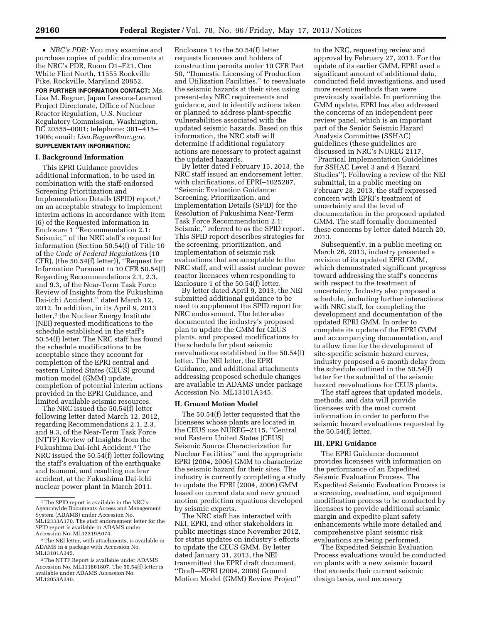• *NRC's PDR:* You may examine and purchase copies of public documents at the NRC's PDR, Room O1–F21, One White Flint North, 11555 Rockville Pike, Rockville, Maryland 20852.

**FOR FURTHER INFORMATION CONTACT:** Ms. Lisa M. Regner, Japan Lessons-Learned Project Directorate, Office of Nuclear Reactor Regulation, U.S. Nuclear Regulatory Commission, Washington, DC 20555–0001; telephone: 301–415– 1906; email: *[Lisa.Regner@nrc.gov.](mailto:Lisa.Regner@nrc.gov)*  **SUPPLEMENTARY INFORMATION:**

#### **I. Background Information**

This EPRI Guidance provides additional information, to be used in combination with the staff-endorsed Screening Prioritization and Implementation Details (SPID) report,1 on an acceptable strategy to implement interim actions in accordance with item (6) of the Requested Information in Enclosure 1 ''Recommendation 2.1: Seismic,'' of the NRC staff's request for information (Section 50.54(f) of Title 10 of the *Code of Federal Regulations* (10 CFR), (the 50.54(f) letter)), ''Request for Information Pursuant to 10 CFR 50.54(f) Regarding Recommendations 2.1, 2.3, and 9.3, of the Near-Term Task Force Review of Insights from the Fukushima Dai-ichi Accident,'' dated March 12, 2012. In addition, in its April 9, 2013 letter,<sup>2</sup> the Nuclear Energy Institute (NEI) requested modifications to the schedule established in the staff's 50.54(f) letter. The NRC staff has found the schedule modifications to be acceptable since they account for completion of the EPRI central and eastern United States (CEUS) ground motion model (GMM) update, completion of potential interim actions provided in the EPRI Guidance, and limited available seismic resources.

The NRC issued the 50.54(f) letter following letter dated March 12, 2012, regarding Recommendations 2.1, 2.3, and 9.3, of the Near-Term Task Force (NTTF) Review of Insights from the Fukushima Dai-ichi Accident.3 The NRC issued the 50.54(f) letter following the staff's evaluation of the earthquake and tsunami, and resulting nuclear accident, at the Fukushima Dai-ichi nuclear power plant in March 2011.

Enclosure 1 to the 50.54(f) letter requests licensees and holders of construction permits under 10 CFR Part 50, ''Domestic Licensing of Production and Utilization Facilities,'' to reevaluate the seismic hazards at their sites using present-day NRC requirements and guidance, and to identify actions taken or planned to address plant-specific vulnerabilities associated with the updated seismic hazards. Based on this information, the NRC staff will determine if additional regulatory actions are necessary to protect against the updated hazards.

By letter dated February 15, 2013, the NRC staff issued an endorsement letter, with clarifications, of EPRI–1025287, ''Seismic Evaluation Guidance: Screening, Prioritization, and Implementation Details (SPID) for the Resolution of Fukushima Near-Term Task Force Recommendation 2.1: Seismic,'' referred to as the SPID report. This SPID report describes strategies for the screening, prioritization, and implementation of seismic risk evaluations that are acceptable to the NRC staff, and will assist nuclear power reactor licensees when responding to Enclosure 1 of the 50.54(f) letter.

By letter dated April 9, 2013, the NEI submitted additional guidance to be used to supplement the SPID report for NRC endorsement. The letter also documented the industry's proposed plan to update the GMM for CEUS plants, and proposed modifications to the schedule for plant seismic reevaluations established in the 50.54(f) letter. The NEI letter, the EPRI Guidance, and additional attachments addressing proposed schedule changes are available in ADAMS under package Accession No. ML13101A345.

#### **II. Ground Motion Model**

The 50.54(f) letter requested that the licensees whose plants are located in the CEUS use NUREG–2115, ''Central and Eastern United States [CEUS] Seismic Source Characterization for Nuclear Facilities'' and the appropriate EPRI (2004, 2006) GMM to characterize the seismic hazard for their sites. The industry is currently completing a study to update the EPRI (2004, 2006) GMM based on current data and new ground motion prediction equations developed by seismic experts.

The NRC staff has interacted with NEI, EPRI, and other stakeholders in public meetings since November 2012, for status updates on industry's efforts to update the CEUS GMM. By letter dated January 31, 2013, the NEI transmitted the EPRI draft document, ''Draft—EPRI (2004, 2006) Ground Motion Model (GMM) Review Project''

to the NRC, requesting review and approval by February 27, 2013. For the update of its earlier GMM, EPRI used a significant amount of additional data, conducted field investigations, and used more recent methods than were previously available. In performing the GMM update, EPRI has also addressed the concerns of an independent peer review panel, which is an important part of the Senior Seismic Hazard Analysis Committee (SSHAC) guidelines (these guidelines are discussed in NRC's NUREG 2117, ''Practical Implementation Guidelines for SSHAC Level 3 and 4 Hazard Studies''). Following a review of the NEI submittal, in a public meeting on February 28, 2013, the staff expressed concern with EPRI's treatment of uncertainty and the level of documentation in the proposed updated GMM. The staff formally documented these concerns by letter dated March 20, 2013.

Subsequently, in a public meeting on March 26, 2013, industry presented a revision of its updated EPRI GMM, which demonstrated significant progress toward addressing the staff's concerns with respect to the treatment of uncertainty. Industry also proposed a schedule, including further interactions with NRC staff, for completing the development and documentation of the updated EPRI GMM. In order to complete its update of the EPRI GMM and accompanying documentation, and to allow time for the development of site-specific seismic hazard curves, industry proposed a 6 month delay from the schedule outlined in the 50.54(f) letter for the submittal of the seismic hazard reevaluations for CEUS plants.

The staff agrees that updated models, methods, and data will provide licensees with the most current information in order to perform the seismic hazard evaluations requested by the 50.54(f) letter.

# **III. EPRI Guidance**

The EPRI Guidance document provides licensees with information on the performance of an Expedited Seismic Evaluation Process. The Expedited Seismic Evaluation Process is a screening, evaluation, and equipment modification process to be conducted by licensees to provide additional seismic margin and expedite plant safety enhancements while more detailed and comprehensive plant seismic risk evaluations are being performed.

The Expedited Seismic Evaluation Process evaluations would be conducted on plants with a new seismic hazard that exceeds their current seismic design basis, and necessary

<sup>1</sup>The SPID report is available in the NRC's Agencywide Documents Access and Management System (ADAMS) under Accession No. ML12333A170. The staff endorsement letter for the SPID report is available in ADAMS under Accession No. ML12319A074.

<sup>2</sup>The NEI letter, with attachments, is available in ADAMS in a package with Accession No. ML13101A345.

<sup>3</sup>The NTTF Report is available under ADAMS Accession No. ML111861807. The 50.54(f) letter is available under ADAMS Accession No. ML12053A340.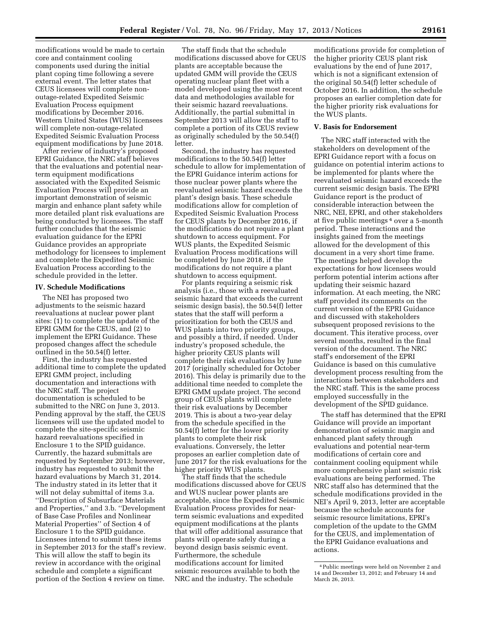modifications would be made to certain core and containment cooling components used during the initial plant coping time following a severe external event. The letter states that CEUS licensees will complete nonoutage-related Expedited Seismic Evaluation Process equipment modifications by December 2016. Western United States (WUS) licensees will complete non-outage-related Expedited Seismic Evaluation Process equipment modifications by June 2018.

After review of industry's proposed EPRI Guidance, the NRC staff believes that the evaluations and potential nearterm equipment modifications associated with the Expedited Seismic Evaluation Process will provide an important demonstration of seismic margin and enhance plant safety while more detailed plant risk evaluations are being conducted by licensees. The staff further concludes that the seismic evaluation guidance for the EPRI Guidance provides an appropriate methodology for licensees to implement and complete the Expedited Seismic Evaluation Process according to the schedule provided in the letter.

# **IV. Schedule Modifications**

The NEI has proposed two adjustments to the seismic hazard reevaluations at nuclear power plant sites: (1) to complete the update of the EPRI GMM for the CEUS, and (2) to implement the EPRI Guidance. These proposed changes affect the schedule outlined in the 50.54(f) letter.

First, the industry has requested additional time to complete the updated EPRI GMM project, including documentation and interactions with the NRC staff. The project documentation is scheduled to be submitted to the NRC on June 3, 2013. Pending approval by the staff, the CEUS licensees will use the updated model to complete the site-specific seismic hazard reevaluations specified in Enclosure 1 to the SPID guidance. Currently, the hazard submittals are requested by September 2013; however, industry has requested to submit the hazard evaluations by March 31, 2014. The industry stated in its letter that it will not delay submittal of items 3.a. ''Description of Subsurface Materials and Properties,'' and 3.b. ''Development of Base Case Profiles and Nonlinear Material Properties'' of Section 4 of Enclosure 1 to the SPID guidance. Licensees intend to submit these items in September 2013 for the staff's review. This will allow the staff to begin its review in accordance with the original schedule and complete a significant portion of the Section 4 review on time.

The staff finds that the schedule modifications discussed above for CEUS plants are acceptable because the updated GMM will provide the CEUS operating nuclear plant fleet with a model developed using the most recent data and methodologies available for their seismic hazard reevaluations. Additionally, the partial submittal in September 2013 will allow the staff to complete a portion of its CEUS review as originally scheduled by the 50.54(f) letter.

Second, the industry has requested modifications to the 50.54(f) letter schedule to allow for implementation of the EPRI Guidance interim actions for those nuclear power plants where the reevaluated seismic hazard exceeds the plant's design basis. These schedule modifications allow for completion of Expedited Seismic Evaluation Process for CEUS plants by December 2016, if the modifications do not require a plant shutdown to access equipment. For WUS plants, the Expedited Seismic Evaluation Process modifications will be completed by June 2018, if the modifications do not require a plant shutdown to access equipment.

For plants requiring a seismic risk analysis (i.e., those with a reevaluated seismic hazard that exceeds the current seismic design basis), the 50.54(f) letter states that the staff will perform a prioritization for both the CEUS and WUS plants into two priority groups, and possibly a third, if needed. Under industry's proposed schedule, the higher priority CEUS plants will complete their risk evaluations by June 2017 (originally scheduled for October 2016). This delay is primarily due to the additional time needed to complete the EPRI GMM update project. The second group of CEUS plants will complete their risk evaluations by December 2019. This is about a two-year delay from the schedule specified in the 50.54(f) letter for the lower priority plants to complete their risk evaluations. Conversely, the letter proposes an earlier completion date of June 2017 for the risk evaluations for the higher priority WUS plants.

The staff finds that the schedule modifications discussed above for CEUS and WUS nuclear power plants are acceptable, since the Expedited Seismic Evaluation Process provides for nearterm seismic evaluations and expedited equipment modifications at the plants that will offer additional assurance that plants will operate safely during a beyond design basis seismic event. Furthermore, the schedule modifications account for limited seismic resources available to both the NRC and the industry. The schedule

modifications provide for completion of the higher priority CEUS plant risk evaluations by the end of June 2017, which is not a significant extension of the original 50.54(f) letter schedule of October 2016. In addition, the schedule proposes an earlier completion date for the higher priority risk evaluations for the WUS plants.

### **V. Basis for Endorsement**

The NRC staff interacted with the stakeholders on development of the EPRI Guidance report with a focus on guidance on potential interim actions to be implemented for plants where the reevaluated seismic hazard exceeds the current seismic design basis. The EPRI Guidance report is the product of considerable interaction between the NRC, NEI, EPRI, and other stakeholders at five public meetings 4 over a 5-month period. These interactions and the insights gained from the meetings allowed for the development of this document in a very short time frame. The meetings helped develop the expectations for how licensees would perform potential interim actions after updating their seismic hazard information. At each meeting, the NRC staff provided its comments on the current version of the EPRI Guidance and discussed with stakeholders subsequent proposed revisions to the document. This iterative process, over several months, resulted in the final version of the document. The NRC staff's endorsement of the EPRI Guidance is based on this cumulative development process resulting from the interactions between stakeholders and the NRC staff. This is the same process employed successfully in the development of the SPID guidance.

The staff has determined that the EPRI Guidance will provide an important demonstration of seismic margin and enhanced plant safety through evaluations and potential near-term modifications of certain core and containment cooling equipment while more comprehensive plant seismic risk evaluations are being performed. The NRC staff also has determined that the schedule modifications provided in the NEI's April 9, 2013, letter are acceptable because the schedule accounts for seismic resource limitations, EPRI's completion of the update to the GMM for the CEUS, and implementation of the EPRI Guidance evaluations and actions.

<sup>4</sup>Public meetings were held on November 2 and 14 and December 13, 2012; and February 14 and March 26, 2013.